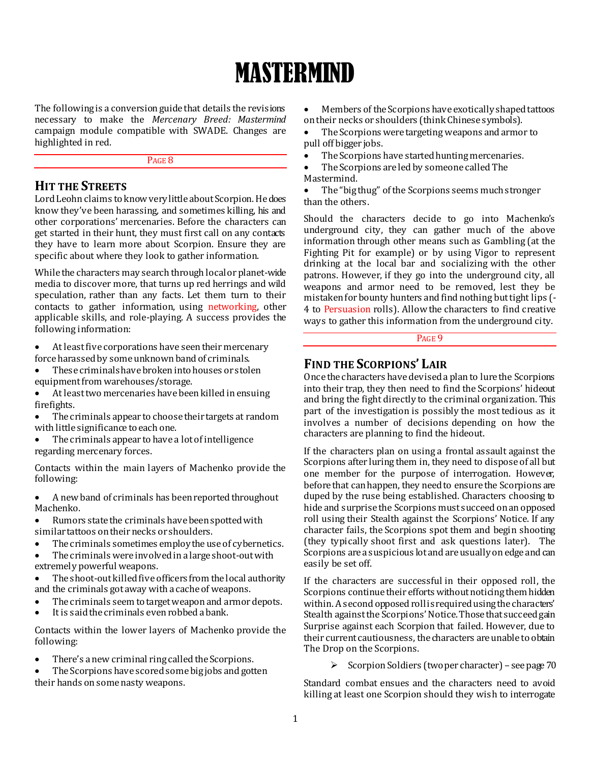# MASTERMIND

The following is a conversion guide that details the revisions necessary to make the *Mercenary Breed: Mastermind* campaign module compatible with SWADE. Changes are highlighted in red.

PAGE<sub>8</sub>

# **HIT THE STREETS**

Lord Leohn claims to know very little about Scorpion. He does know they've been harassing, and sometimes killing, his and other corporations' mercenaries. Before the characters can get started in their hunt, they must first call on any contacts they have to learn more about Scorpion. Ensure they are specific about where they look to gather information.

While the characters may search through local or planet-wide media to discover more, that turns up red herrings and wild speculation, rather than any facts. Let them turn to their contacts to gather information, using networking, other applicable skills, and role-playing. A success provides the following information:

 At least five corporations have seen their mercenary force harassed by some unknown band of criminals.

 These criminals have broken into houses or stolen equipment from warehouses/storage.

• At least two mercenaries have been killed in ensuing firefights.

 The criminals appear to choose their targets at random with little significance to each one.

 The criminals appear to have a lot of intelligence regarding mercenary forces.

Contacts within the main layers of Machenko provide the following:

 A new band of criminals has been reported throughout Machenko.

 Rumors state the criminals have been spotted with similar tattoos on their necks or shoulders.

The criminals sometimes employ the use of cybernetics.

 The criminals were involved in a large shoot-out with extremely powerful weapons.

 The shoot-out killed five officers from the local authority and the criminals got away with a cache of weapons.

- The criminals seem to target weapon and armor depots.
- It is said the criminals even robbed a bank.

Contacts within the lower layers of Machenko provide the following:

• There's a new criminal ring called the Scorpions.

 The Scorpions have scored some big jobs and gotten their hands on some nasty weapons.

 Members of the Scorpions have exotically shaped tattoos on their necks or shoulders (think Chinese symbols).

 The Scorpions were targeting weapons and armor to pull off bigger jobs.

• The Scorpions have started hunting mercenaries.

 The Scorpions are led by someone called The Mastermind.

 The "big thug" of the Scorpions seems much stronger than the others.

Should the characters decide to go into Machenko's underground city, they can gather much of the above information through other means such as Gambling (at the Fighting Pit for example) or by using Vigor to represent drinking at the local bar and socializing with the other patrons. However, if they go into the underground city, all weapons and armor need to be removed, lest they be mistaken for bounty hunters and find nothing but tight lips (- 4 to Persuasion rolls). Allow the characters to find creative ways to gather this information from the underground city.

# PAGE<sub>9</sub>

# **FIND THE SCORPIONS' LAIR**

Once the characters have devised a plan to lure the Scorpions into their trap, they then need to find the Scorpions' hideout and bring the fight directly to the criminal organization. This part of the investigation is possibly the most tedious as it involves a number of decisions depending on how the characters are planning to find the hideout.

If the characters plan on using a frontal assault against the Scorpions after luring them in, they need to dispose of all but one member for the purpose of interrogation. However, before that can happen, they need to ensure the Scorpions are duped by the ruse being established. Characters choosing to hide and surprise the Scorpions must succeed on an opposed roll using their Stealth against the Scorpions' Notice. If any character fails, the Scorpions spot them and begin shooting (they typically shoot first and ask questions later). The Scorpions are a suspicious lot and are usually on edge and can easily be set off.

If the characters are successful in their opposed roll, the Scorpions continue their efforts without noticing them hidden within. A second opposed roll is required using the characters' Stealth against the Scorpions' Notice. Those that succeed gain Surprise against each Scorpion that failed. However, due to their current cautiousness, the characters are unable to obtain The Drop on the Scorpions.

 $\triangleright$  Scorpion Soldiers (two per character) – see page 70

Standard combat ensues and the characters need to avoid killing at least one Scorpion should they wish to interrogate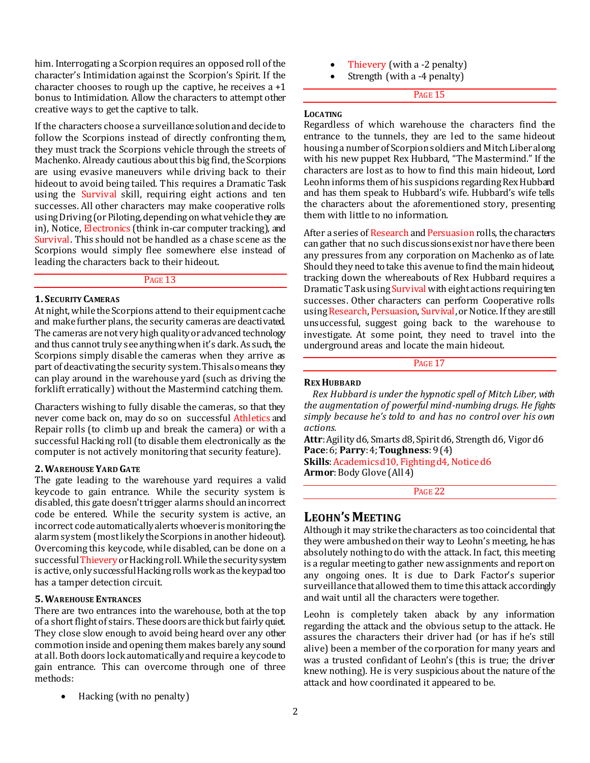him. Interrogating a Scorpion requires an opposed roll of the character's Intimidation against the Scorpion's Spirit. If the character chooses to rough up the captive, he receives  $a + 1$ bonus to Intimidation. Allow the characters to attempt other creative ways to get the captive to talk.

If the characters choose a surveillance solution and decide to follow the Scorpions instead of directly confronting them, they must track the Scorpions vehicle through the streets of Machenko. Already cautious about this big find, the Scorpions are using evasive maneuvers while driving back to their hideout to avoid being tailed. This requires a Dramatic Task using the Survival skill, requiring eight actions and ten successes. All other characters may make cooperative rolls using Driving (or Piloting, depending on what vehicle they are in), Notice, Electronics (think in-car computer tracking), and Survival. This should not be handled as a chase scene as the Scorpions would simply flee somewhere else instead of leading the characters back to their hideout.

# PAGE<sub>13</sub>

#### **1. SECURITY CAMERAS**

At night, while the Scorpions attend to their equipment cache and make further plans, the security cameras are deactivated. The cameras are not very high quality or advanced technology and thus cannot truly see anything when it's dark. As such, the Scorpions simply disable the cameras when they arrive as part of deactivating the security system. This also means they can play around in the warehouse yard (such as driving the forklift erratically) without the Mastermind catching them.

Characters wishing to fully disable the cameras, so that they never come back on, may do so on successful Athletics and Repair rolls (to climb up and break the camera) or with a successful Hacking roll (to disable them electronically as the computer is not actively monitoring that security feature).

#### **2.WAREHOUSE YARD GATE**

The gate leading to the warehouse yard requires a valid keycode to gain entrance. While the security system is disabled, this gate doesn't trigger alarms should an incorrect code be entered. While the security system is active, an incorrect code automatically alerts whoever is monitoring the alarm system (most likely the Scorpions in another hideout). Overcoming this keycode, while disabled, can be done on a successful Thievery or Hacking roll. While the security system is active, only successful Hacking rolls work as the keypad too has a tamper detection circuit.

# **5.WAREHOUSE ENTRANCES**

There are two entrances into the warehouse, both at the top of a short flight of stairs. These doors are thick but fairly quiet. They close slow enough to avoid being heard over any other commotion inside and opening them makes barely any sound at all. Both doors lock automatically and require a keycode to gain entrance. This can overcome through one of three methods:

Hacking (with no penalty)

- Thievery (with a -2 penalty)
- Strength (with a -4 penalty)

# PAGE 15

#### **LOCATING**

Regardless of which warehouse the characters find the entrance to the tunnels, they are led to the same hideout housing a number of Scorpion soldiers and Mitch Liber along with his new puppet Rex Hubbard, "The Mastermind." If the characters are lost as to how to find this main hideout, Lord Leohn informs them of his suspicions regarding Rex Hubbard and has them speak to Hubbard's wife. Hubbard's wife tells the characters about the aforementioned story, presenting them with little to no information.

After a series of Research and Persuasion rolls, the characters can gather that no such discussions exist nor have there been any pressures from any corporation on Machenko as of late. Should they need to take this avenue to find the main hideout, tracking down the whereabouts of Rex Hubbard requires a Dramatic Task using Survival with eight actions requiring ten successes. Other characters can perform Cooperative rolls using Research, Persuasion, Survival, or Notice. If they are still unsuccessful, suggest going back to the warehouse to investigate. At some point, they need to travel into the underground areas and locate the main hideout.

PAGE 17

#### **REX HUBBARD**

*Rex Hubbard is under the hypnotic spell of Mitch Liber, with the augmentation of powerful mind-numbing drugs. He fights simply because he's told to and has no control over his own actions.*

**Attr**: Agility d6, Smarts d8, Spirit d6, Strength d6, Vigor d6 **Pace**: 6; **Parry**: 4; **Toughness**: 9 (4)

**Skills**: Academics d10, Fighting d4, Notice d6 **Armor**: Body Glove (All 4)

PAGE 22

# **LEOHN'S MEETING**

Although it may strike the characters as too coincidental that they were ambushed on their way to Leohn's meeting, he has absolutely nothing to do with the attack. In fact, this meeting is a regular meeting to gather new assignments and report on any ongoing ones. It is due to Dark Factor's superior surveillance that allowed them to time this attack accordingly and wait until all the characters were together.

Leohn is completely taken aback by any information regarding the attack and the obvious setup to the attack. He assures the characters their driver had (or has if he's still alive) been a member of the corporation for many years and was a trusted confidant of Leohn's (this is true; the driver knew nothing). He is very suspicious about the nature of the attack and how coordinated it appeared to be.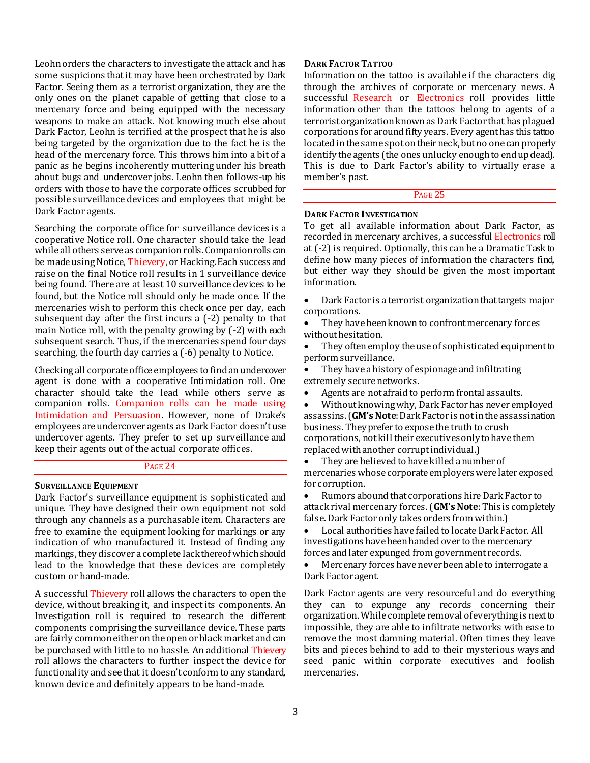Leohn orders the characters to investigate the attack and has some suspicions that it may have been orchestrated by Dark Factor. Seeing them as a terrorist organization, they are the only ones on the planet capable of getting that close to a mercenary force and being equipped with the necessary weapons to make an attack. Not knowing much else about Dark Factor, Leohn is terrified at the prospect that he is also being targeted by the organization due to the fact he is the head of the mercenary force. This throws him into a bit of a panic as he begins incoherently muttering under his breath about bugs and undercover jobs. Leohn then follows-up his orders with those to have the corporate offices scrubbed for possible surveillance devices and employees that might be Dark Factor agents.

Searching the corporate office for surveillance devices is a cooperative Notice roll. One character should take the lead while all others serve as companion rolls. Companion rolls can be made using Notice, Thievery, or Hacking. Each success and raise on the final Notice roll results in 1 surveillance device being found. There are at least 10 surveillance devices to be found, but the Notice roll should only be made once. If the mercenaries wish to perform this check once per day, each subsequent day after the first incurs a (-2) penalty to that main Notice roll, with the penalty growing by (-2) with each subsequent search. Thus, if the mercenaries spend four days searching, the fourth day carries a (-6) penalty to Notice.

Checking all corporate office employees to find an undercover agent is done with a cooperative Intimidation roll. One character should take the lead while others serve as companion rolls. Companion rolls can be made using Intimidation and Persuasion. However, none of Drake's employees are undercover agents as Dark Factor doesn't use undercover agents. They prefer to set up surveillance and keep their agents out of the actual corporate offices.

# PAGE 24

#### **SURVEILLANCE EQUIPMENT**

Dark Factor's surveillance equipment is sophisticated and unique. They have designed their own equipment not sold through any channels as a purchasable item. Characters are free to examine the equipment looking for markings or any indication of who manufactured it. Instead of finding any markings, they discover a complete lack thereof which should lead to the knowledge that these devices are completely custom or hand-made.

A successful Thievery roll allows the characters to open the device, without breaking it, and inspect its components. An Investigation roll is required to research the different components comprising the surveillance device. These parts are fairly common either on the open or black market and can be purchased with little to no hassle. An additional Thievery roll allows the characters to further inspect the device for functionality and see that it doesn't conform to any standard, known device and definitely appears to be hand-made.

# **DARK FACTOR TATTOO**

Information on the tattoo is available if the characters dig through the archives of corporate or mercenary news. A successful Research or Electronics roll provides little information other than the tattoos belong to agents of a terrorist organization known as Dark Factor that has plagued corporations for around fifty years. Every agent has this tattoo located in the same spot on their neck, but no one can properly identify the agents (the ones unlucky enough to end up dead). This is due to Dark Factor's ability to virtually erase a member's past.

#### PAGE 25

## **DARK FACTOR INVESTIGATION**

To get all available information about Dark Factor, as recorded in mercenary archives, a successful Electronics roll at (-2) is required. Optionally, this can be a Dramatic Task to define how many pieces of information the characters find, but either way they should be given the most important information.

 Dark Factor is a terrorist organization that targets major corporations.

 They have been known to confront mercenary forces without hesitation.

 They often employ the use of sophisticated equipment to perform surveillance.

 They have a history of espionage and infiltrating extremely secure networks.

Agents are not afraid to perform frontal assaults.

 Without knowing why, Dark Factor has never employed assassins. (**GM's Note**: Dark Factor is not in the assassination business. They prefer to expose the truth to crush corporations, not kill their executives only to have them replaced with another corrupt individual.)

• They are believed to have killed a number of mercenaries whose corporate employers were later exposed for corruption.

 Rumors abound that corporations hire Dark Factor to attack rival mercenary forces. (**GM's Note**: This is completely false. Dark Factor only takes orders from within.)

 Local authorities have failed to locate Dark Factor. All investigations have been handed over to the mercenary forces and later expunged from government records.

 Mercenary forces have never been able to interrogate a Dark Factor agent.

Dark Factor agents are very resourceful and do everything they can to expunge any records concerning their organization. While complete removal of everything is next to impossible, they are able to infiltrate networks with ease to remove the most damning material. Often times they leave bits and pieces behind to add to their mysterious ways and seed panic within corporate executives and foolish mercenaries.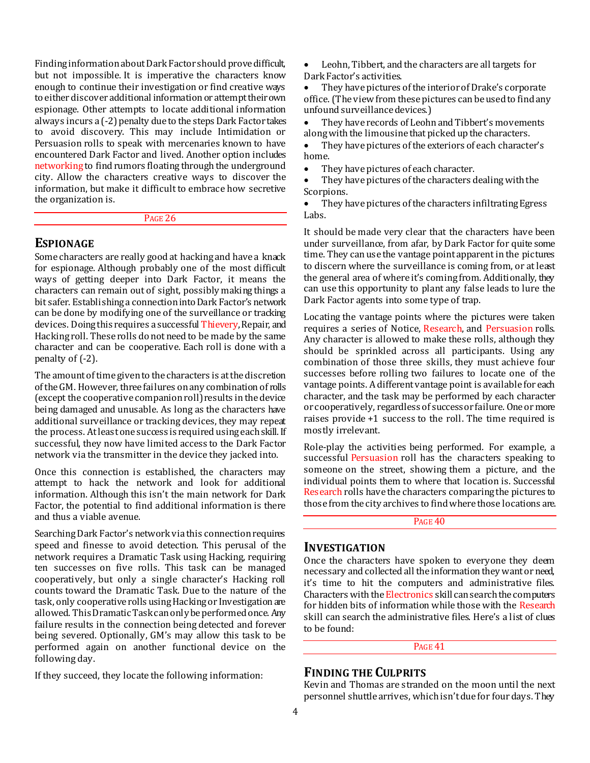Finding information about Dark Factor should prove difficult, but not impossible. It is imperative the characters know enough to continue their investigation or find creative ways to either discover additional information or attempt their own espionage. Other attempts to locate additional information always incurs a (-2) penalty due to the steps Dark Factor takes to avoid discovery. This may include Intimidation or Persuasion rolls to speak with mercenaries known to have encountered Dark Factor and lived. Another option includes networking to find rumors floating through the underground city. Allow the characters creative ways to discover the information, but make it difficult to embrace how secretive the organization is.

#### PAGE 26

# **ESPIONAGE**

Some characters are really good at hacking and have a knack for espionage. Although probably one of the most difficult ways of getting deeper into Dark Factor, it means the characters can remain out of sight, possibly making things a bit safer. Establishing a connection into Dark Factor's network can be done by modifying one of the surveillance or tracking devices. Doing this requires a successful Thievery, Repair, and Hacking roll. These rolls do not need to be made by the same character and can be cooperative. Each roll is done with a penalty of (-2).

The amount of time given to the characters is at the discretion of the GM. However, three failures on any combination of rolls (except the cooperative companion roll) results in the device being damaged and unusable. As long as the characters have additional surveillance or tracking devices, they may repeat the process. At least one success is required using each skill. If successful, they now have limited access to the Dark Factor network via the transmitter in the device they jacked into.

Once this connection is established, the characters may attempt to hack the network and look for additional information. Although this isn't the main network for Dark Factor, the potential to find additional information is there and thus a viable avenue.

Searching Dark Factor's network via this connection requires speed and finesse to avoid detection. This perusal of the network requires a Dramatic Task using Hacking, requiring ten successes on five rolls. This task can be managed cooperatively, but only a single character's Hacking roll counts toward the Dramatic Task. Due to the nature of the task, only cooperative rolls using Hacking or Investigation are allowed. This Dramatic Task can only be performed once. Any failure results in the connection being detected and forever being severed. Optionally, GM's may allow this task to be performed again on another functional device on the following day.

If they succeed, they locate the following information:

 Leohn, Tibbert, and the characters are all targets for Dark Factor's activities.

 They have pictures of the interior of Drake's corporate office. (The view from these pictures can be used to find any unfound surveillance devices.)

 They have records of Leohn and Tibbert's movements along with the limousine that picked up the characters.

 They have pictures of the exteriors of each character's home.

• They have pictures of each character.

 They have pictures of the characters dealing with the Scorpions.

• They have pictures of the characters infiltrating Egress Labs.

It should be made very clear that the characters have been under surveillance, from afar, by Dark Factor for quite some time. They can use the vantage point apparent in the pictures to discern where the surveillance is coming from, or at least the general area of where it's coming from. Additionally, they can use this opportunity to plant any false leads to lure the Dark Factor agents into some type of trap.

Locating the vantage points where the pictures were taken requires a series of Notice, Research, and Persuasion rolls. Any character is allowed to make these rolls, although they should be sprinkled across all participants. Using any combination of those three skills, they must achieve four successes before rolling two failures to locate one of the vantage points. A different vantage point is available for each character, and the task may be performed by each character or cooperatively, regardless of success or failure. One or more raises provide +1 success to the roll. The time required is mostly irrelevant.

Role-play the activities being performed. For example, a successful Persuasion roll has the characters speaking to someone on the street, showing them a picture, and the individual points them to where that location is. Successful Research rolls have the characters comparing the pictures to those from the city archives to find where those locations are.

PAGE 40

# **INVESTIGATION**

Once the characters have spoken to everyone they deem necessary and collected all the information they want or need, it's time to hit the computers and administrative files. Characters with the Electronics skill can search the computers for hidden bits of information while those with the Research skill can search the administrative files. Here's a list of clues to be found:

PAGE 41

# **FINDING THE CULPRITS**

Kevin and Thomas are stranded on the moon until the next personnel shuttle arrives, which isn't due for four days. They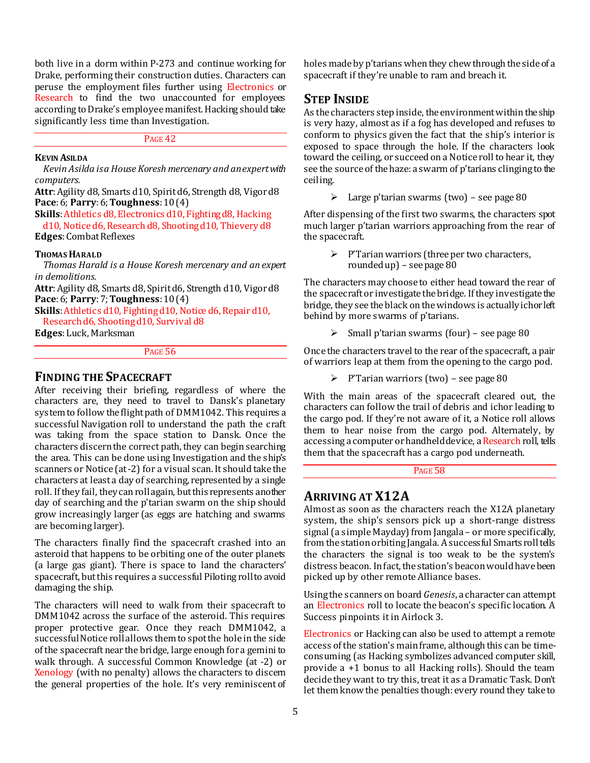both live in a dorm within P-273 and continue working for Drake, performing their construction duties. Characters can peruse the employment files further using Electronics or Research to find the two unaccounted for employees according to Drake's employee manifest. Hacking should take significantly less time than Investigation.

# PAGE 42

# **KEVIN ASILDA**

*Kevin Asilda is a House Koresh mercenary and an expert with computers.*

**Attr**: Agility d8, Smarts d10, Spirit d6, Strength d8, Vigor d8 **Pace**: 6; **Parry**: 6; **Toughness**: 10 (4)

**Skills**: Athletics d8, Electronics d10, Fighting d8, Hacking d10, Notice d6, Research d8, Shooting d10, Thievery d8 **Edges**: Combat Reflexes

## **THOMAS HARALD**

*Thomas Harald is a House Koresh mercenary and an expert in demolitions.*

**Attr**: Agility d8, Smarts d8, Spirit d6, Strength d10, Vigor d8 **Pace**: 6; **Parry**: 7; **Toughness**: 10 (4)

**Skills**: Athletics d10, Fighting d10, Notice d6, Repair d10, Research d6, Shooting d10, Survival d8

**Edges**: Luck, Marksman

# PAGE 56

# **FINDING THE SPACECRAFT**

After receiving their briefing, regardless of where the characters are, they need to travel to Dansk's planetary system to follow the flight path of DMM1042. This requires a successful Navigation roll to understand the path the craft was taking from the space station to Dansk. Once the characters discern the correct path, they can begin searching the area. This can be done using Investigation and the ship's scanners or Notice (at -2) for a visual scan. It should take the characters at least a day of searching, represented by a single roll. If they fail, they can roll again, but this represents another day of searching and the p'tarian swarm on the ship should grow increasingly larger (as eggs are hatching and swarms are becoming larger).

The characters finally find the spacecraft crashed into an asteroid that happens to be orbiting one of the outer planets (a large gas giant). There is space to land the characters' spacecraft, but this requires a successful Piloting roll to avoid damaging the ship.

The characters will need to walk from their spacecraft to DMM1042 across the surface of the asteroid. This requires proper protective gear. Once they reach DMM1042, a successful Notice roll allows them to spot the hole in the side of the spacecraft near the bridge, large enough for a gemini to walk through. A successful Common Knowledge (at -2) or Xenology (with no penalty) allows the characters to discern the general properties of the hole. It's very reminiscent of

holes made by p'tarians when they chew through the side of a spacecraft if they're unable to ram and breach it.

# **STEP INSIDE**

As the characters step inside, the environment within the ship is very hazy, almost as if a fog has developed and refuses to conform to physics given the fact that the ship's interior is exposed to space through the hole. If the characters look toward the ceiling, or succeed on a Notice roll to hear it, they see the source of the haze: a swarm of p'tarians clinging to the ceiling.

 $\geq$  Large p'tarian swarms (two) – see page 80

After dispensing of the first two swarms, the characters spot much larger p'tarian warriors approaching from the rear of the spacecraft.

 $\triangleright$  P'Tarian warriors (three per two characters, rounded up) – see page 80

The characters may choose to either head toward the rear of the spacecraft or investigate the bridge. If they investigate the bridge, they see the black on the windows is actually ichor left behind by more swarms of p'tarians.

 $\triangleright$  Small p'tarian swarms (four) – see page 80

Once the characters travel to the rear of the spacecraft, a pair of warriors leap at them from the opening to the cargo pod.

 $\triangleright$  P'Tarian warriors (two) – see page 80

With the main areas of the spacecraft cleared out, the characters can follow the trail of debris and ichor leading to the cargo pod. If they're not aware of it, a Notice roll allows them to hear noise from the cargo pod. Alternately, by accessing a computer or handheld device, a Research roll, tells them that the spacecraft has a cargo pod underneath.

# PAGE 58

# **ARRIVING AT X12A**

Almost as soon as the characters reach the X12A planetary system, the ship's sensors pick up a short-range distress signal (a simple Mayday) from Jangala – or more specifically, from the station orbiting Jangala. A successful Smarts roll tells the characters the signal is too weak to be the system's distress beacon. In fact, the station's beacon would have been picked up by other remote Alliance bases.

Using the scanners on board *Genesis*, a character can attempt an Electronics roll to locate the beacon's specific location. A Success pinpoints it in Airlock 3.

Electronics or Hacking can also be used to attempt a remote access of the station's main frame, although this can be timeconsuming (as Hacking symbolizes advanced computer skill, provide a +1 bonus to all Hacking rolls). Should the team decide they want to try this, treat it as a Dramatic Task. Don't let them know the penalties though: every round they take to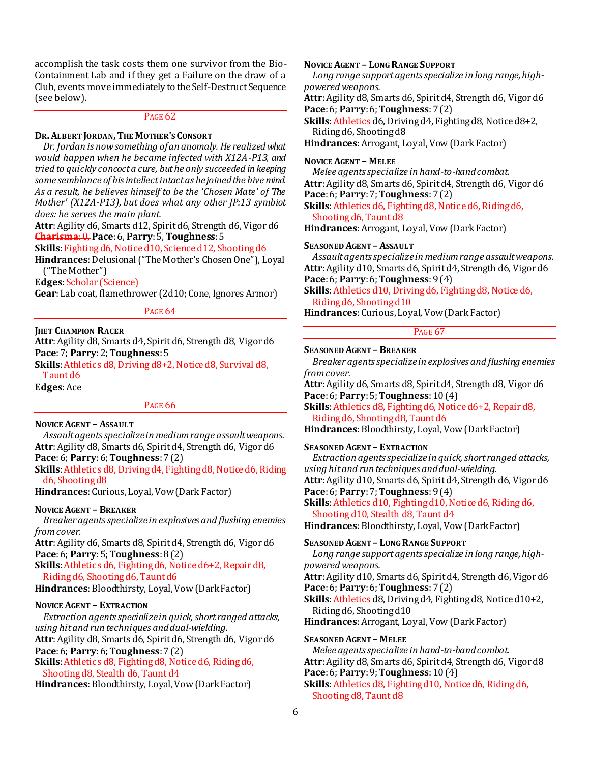accomplish the task costs them one survivor from the Bio-Containment Lab and if they get a Failure on the draw of a Club, events move immediately to the Self-Destruct Sequence (see below).

# PAGE<sub>62</sub>

# **DR.ALBERT JORDAN,THE MOTHER'S CONSORT**

*Dr. Jordan is now something of an anomaly. He realized what would happen when he became infected with X12A-P13, and tried to quickly concoct a cure, but he only succeeded in keeping some semblance of his intellect intact as he joined the hive mind. As a result, he believes himself to be the 'Chosen Mate' of 'The Mother' (X12A-P13), but does what any other JP:13 symbiot does: he serves the main plant.*

**Attr**: Agility d6, Smarts d12, Spirit d6, Strength d6, Vigor d6 **Charisma**: 0, **Pace**: 6, **Parry**: 5, **Toughness**: 5

**Skills**: Fighting d6, Notice d10, Science d12, Shooting d6

**Hindrances**: Delusional ("The Mother's Chosen One"), Loyal ("The Mother")

**Edges**: Scholar (Science)

**Gear**:Lab coat, flamethrower (2d10; Cone, Ignores Armor)

#### PAGE 64

#### **JHET CHAMPION RACER**

**Attr**: Agility d8, Smarts d4, Spirit d6, Strength d8, Vigor d6 **Pace**:7; **Parry**: 2; **Toughness**: 5

Skills: Athletics d8, Driving d8+2, Notice d8, Survival d8, Taunt d6

**Edges**:Ace

#### PAGE 66

**NOVICE AGENT – ASSAULT**

*Assault agents specialize in medium range assault weapons.* **Attr**: Agility d8, Smarts d6, Spirit d4, Strength d6, Vigor d6 **Pace**: 6; **Parry**: 6; **Toughness**: 7 (2)

**Skills**: Athletics d8, Driving d4, Fighting d8, Notice d6, Riding d6, Shooting d8

**Hindrances**: Curious, Loyal, Vow (Dark Factor)

#### **NOVICE AGENT – BREAKER**

*Breaker agents specialize in explosives and flushing enemies from cover.*

**Attr**: Agility d6, Smarts d8, Spirit d4, Strength d6, Vigor d6 **Pace**: 6; **Parry**: 5; **Toughness**: 8 (2)

**Skills**: Athletics d6, Fighting d6, Notice d6+2, Repair d8, Riding d6, Shooting d6, Taunt d6

**Hindrances**: Bloodthirsty, Loyal, Vow (Dark Factor)

## **NOVICE AGENT – EXTRACTION**

*Extraction agents specialize in quick, short ranged attacks, using hit and run techniques and dual-wielding.* **Attr**: Agility d8, Smarts d6, Spirit d6, Strength d6, Vigor d6 **Pace**: 6; **Parry**: 6; **Toughness**: 7 (2) **Skills**: Athletics d8, Fighting d8, Notice d6, Riding d6,

Shooting d8, Stealth d6, Taunt d4

**Hindrances**: Bloodthirsty, Loyal, Vow (Dark Factor)

# **NOVICE AGENT – LONG RANGE SUPPORT**

*Long range support agents specialize in long range, highpowered weapons.*

**Attr**: Agility d8, Smarts d6, Spirit d4, Strength d6, Vigor d6 **Pace**: 6; **Parry**: 6; **Toughness**: 7 (2)

**Skills**: Athletics d6, Driving d4, Fighting d8, Notice d8+2, Riding d6, Shooting d8

**Hindrances**: Arrogant, Loyal, Vow (Dark Factor)

#### **NOVICE AGENT – MELEE**

*Melee agents specialize in hand-to-hand combat.* **Attr**: Agility d8, Smarts d6, Spirit d4, Strength d6, Vigor d6 **Pace**: 6; **Parry**: 7; **Toughness**: 7 (2)

**Skills**: Athletics d6, Fighting d8, Notice d6, Riding d6, Shooting d6, Taunt d8

**Hindrances**: Arrogant, Loyal, Vow (Dark Factor)

#### **SEASONED AGENT – ASSAULT**

*Assault agents specialize in medium range assault weapons.* **Attr**: Agility d10, Smarts d6, Spirit d4, Strength d6, Vigor d6 **Pace**: 6; **Parry**: 6; **Toughness**: 9 (4)

**Skills**: Athletics d10, Driving d6, Fighting d8, Notice d6, Riding d6, Shooting d10

**Hindrances**: Curious, Loyal, Vow (Dark Factor)

# PAGE 67

**SEASONED AGENT – BREAKER**

*Breaker agents specialize in explosives and flushing enemies from cover.*

**Attr**: Agility d6, Smarts d8, Spirit d4, Strength d8, Vigor d6 **Pace**: 6; **Parry**: 5; **Toughness**: 10 (4)

**Skills**: Athletics d8, Fighting d6, Notice d6+2, Repair d8, Riding d6, Shooting d8, Taunt d6

**Hindrances**: Bloodthirsty, Loyal, Vow (Dark Factor)

#### **SEASONED AGENT – EXTRACTION**

*Extraction agents specialize in quick, short ranged attacks, using hit and run techniques and dual-wielding.* **Attr**: Agility d10, Smarts d6, Spirit d4, Strength d6, Vigor d6

**Pace**: 6; **Parry**: 7; **Toughness**: 9 (4)

**Skills**: Athletics d10, Fighting d10, Notice d6, Riding d6, Shooting d10, Stealth d8, Taunt d4

**Hindrances**: Bloodthirsty, Loyal, Vow (Dark Factor)

**SEASONED AGENT – LONG RANGE SUPPORT** *Long range support agents specialize in long range, highpowered weapons.* **Attr**: Agility d10, Smarts d6, Spirit d4, Strength d6, Vigor d6 **Pace**: 6; **Parry**: 6; **Toughness**: 7 (2) **Skills**: Athletics d8, Driving d4, Fighting d8, Notice d10+2, Riding d6, Shooting d10 **Hindrances**: Arrogant, Loyal, Vow (Dark Factor) **SEASONED AGENT – MELEE**

*Melee agents specialize in hand-to-hand combat.* **Attr**: Agility d8, Smarts d6, Spirit d4, Strength d6, Vigor d8 **Pace**: 6; **Parry**: 9; **Toughness**: 10 (4) **Skills**: Athletics d8, Fighting d10, Notice d6, Riding d6, Shooting d8, Taunt d8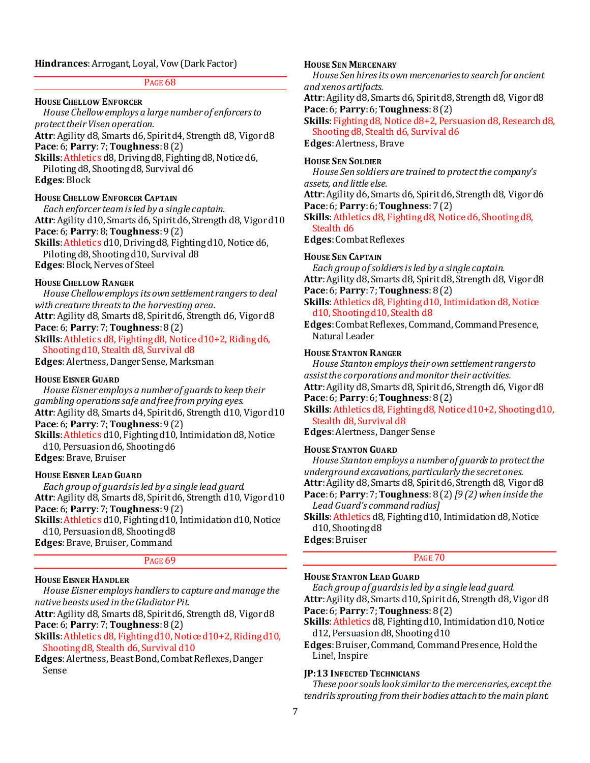# **Hindrances**: Arrogant, Loyal, Vow (Dark Factor)

#### PAGE 68

#### **HOUSE CHELLOW ENFORCER**

*House Chellow employs a large number of enforcers to protect their Visen operation.*

**Attr**: Agility d8, Smarts d6, Spirit d4, Strength d8, Vigor d8 **Pace**: 6; **Parry**: 7; **Toughness**: 8 (2)

**Skills**: Athletics d8, Driving d8, Fighting d8, Notice d6,

Piloting d8, Shooting d8, Survival d6

**Edges**: Block

# **HOUSE CHELLOW ENFORCER CAPTAIN**

*Each enforcer team is led by a single captain.* **Attr**: Agility d10, Smarts d6, Spirit d6, Strength d8, Vigor d10 **Pace**: 6; **Parry**: 8; **Toughness**: 9 (2) **Skills**: Athletics d10, Driving d8, Fighting d10, Notice d6, Piloting d8, Shooting d10, Survival d8

**Edges**: Block, Nerves of Steel

## **HOUSE CHELLOW RANGER**

*House Chellow employs its own settlement rangers to deal with creature threats to the harvesting area.*

**Attr**: Agility d8, Smarts d8, Spirit d6, Strength d6, Vigor d8 **Pace**: 6; **Parry**: 7; **Toughness**: 8 (2)

**Skills**: Athletics d8, Fighting d8, Notice d10+2, Riding d6, Shooting d10, Stealth d8, Survival d8

**Edges**: Alertness, Danger Sense, Marksman

#### **HOUSE EISNER GUARD**

*House Eisner employs a number of guards to keep their gambling operations safe and free from prying eyes.* **Attr**: Agility d8, Smarts d4, Spirit d6, Strength d10, Vigor d10 **Pace**: 6; **Parry**: 7; **Toughness**:9 (2) **Skills**: Athletics d10, Fighting d10, Intimidation d8, Notice d10, Persuasion d6, Shooting d6

**Edges**: Brave, Bruiser

## **HOUSE EISNER LEAD GUARD**

*Each group of guards is led by a single lead guard.* **Attr**: Agility d8, Smarts d8, Spirit d6, Strength d10, Vigor d10 **Pace**: 6; **Parry**: 7; **Toughness**: 9 (2) **Skills**: Athletics d10, Fighting d10, Intimidation d10, Notice

d10, Persuasion d8, Shooting d8 **Edges**: Brave, Bruiser, Command

#### PAGE<sub>69</sub>

#### **HOUSE EISNER HANDLER**

*House Eisner employs handlers to capture and manage the native beasts used in the Gladiator Pit.*

**Attr**: Agility d8, Smarts d8, Spirit d6, Strength d8, Vigor d8 **Pace**: 6; **Parry**: 7; **Toughness**: 8 (2)

**Skills**: Athletics d8, Fighting d10, Notice d10+2, Riding d10, Shooting d8, Stealth d6, Survival d10

**Edges**: Alertness, Beast Bond, Combat Reflexes, Danger Sense

# **HOUSE SEN MERCENARY**

*House Sen hires its own mercenaries to search for ancient and xenos artifacts.*

**Attr**: Agility d8, Smarts d6, Spirit d8, Strength d8, Vigor d8 **Pace**: 6; **Parry**: 6; **Toughness**: 8 (2)

**Skills**: Fighting d8, Notice d8+2, Persuasion d8, Research d8, Shooting d8, Stealth d6, Survival d6

**Edges**: Alertness, Brave

# **HOUSE SEN SOLDIER**

*House Sen soldiers are trained to protect the company's assets, and little else.*

**Attr**: Agility d6, Smarts d6, Spirit d6, Strength d8, Vigor d6 **Pace**: 6; **Parry**: 6; **Toughness**: 7 (2)

**Skills**: Athletics d8, Fighting d8, Notice d6, Shooting d8, Stealth d6

**Edges**: Combat Reflexes

#### **HOUSE SEN CAPTAIN**

*Each group of soldiers is led by a single captain.* **Attr**: Agility d8, Smarts d8, Spirit d8, Strength d8, Vigor d8 **Pace**: 6; **Parry**: 7; **Toughness**: 8 (2)

# **Skills**: Athletics d8, Fighting d10, Intimidation d8, Notice d10, Shooting d10, Stealth d8

**Edges**: Combat Reflexes, Command, Command Presence, Natural Leader

#### **HOUSE STANTON RANGER**

*House Stanton employs their own settlement rangers to assist the corporations and monitor their activities.* **Attr**: Agility d8, Smarts d8, Spirit d6, Strength d6, Vigor d8 **Pace**: 6; **Parry**: 6; **Toughness**: 8 (2)

**Skills**: Athletics d8, Fighting d8, Notice d10+2, Shooting d10,

# Stealth d8, Survival d8

**Edges**: Alertness, Danger Sense

# **HOUSE STANTON GUARD**

*House Stanton employs a number of guards to protect the underground excavations, particularly the secret ones.* **Attr**: Agility d8, Smarts d8, Spirit d6, Strength d8, Vigor d8 **Pace**: 6; **Parry**: 7; **Toughness**: 8 (2) *[9 (2) when inside the Lead Guard's command radius]*

**Skills**: Athletics d8, Fighting d10, Intimidation d8, Notice d10, Shooting d8

**Edges**: Bruiser

# PAGE 70

# **HOUSE STANTON LEAD GUARD**

*Each group of guards is led by a single lead guard.* **Attr**: Agility d8, Smarts d10, Spirit d6, Strength d8, Vigor d8 **Pace**: 6; **Parry**: 7; **Toughness**: 8 (2)

**Skills**: Athletics d8, Fighting d10, Intimidation d10, Notice d12, Persuasion d8, Shooting d10

**Edges**: Bruiser, Command, Command Presence, Hold the Line!, Inspire

# **JP:13 INFECTED TECHNICIANS**

*These poor souls look similar to the mercenaries, except the tendrils sprouting from their bodies attach to the main plant.*